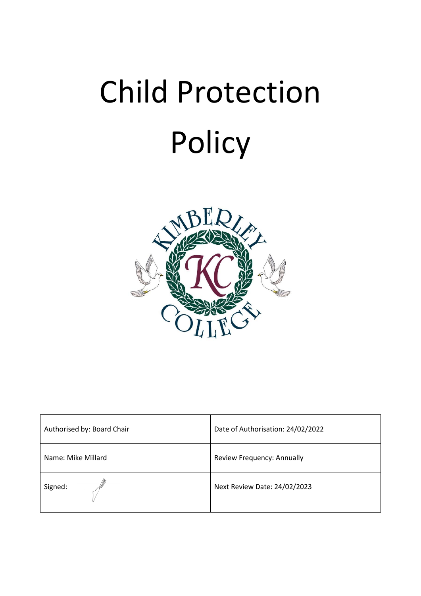

| Authorised by: Board Chair | Date of Authorisation: 24/02/2022 |
|----------------------------|-----------------------------------|
| Name: Mike Millard         | Review Frequency: Annually        |
| Signed:                    | Next Review Date: 24/02/2023      |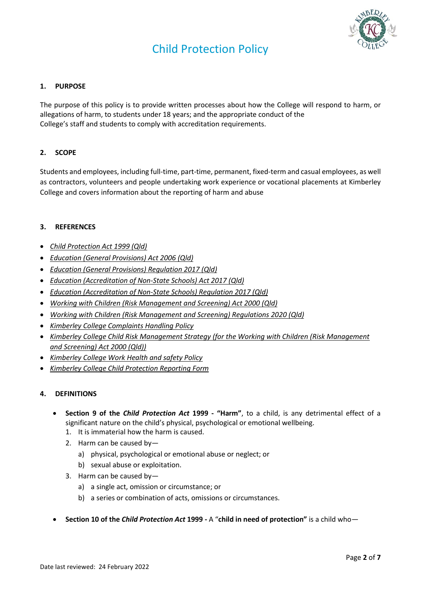

## **1. PURPOSE**

The purpose of this policy is to provide written processes about how the College will respond to harm, or allegations of harm, to students under 18 years; and the appropriate conduct of the College's staff and students to comply with accreditation requirements.

## **2. SCOPE**

Students and employees, including full-time, part-time, permanent, fixed-term and casual employees, as well as contractors, volunteers and people undertaking work experience or vocational placements at Kimberley College and covers information about the reporting of harm and abuse

## **3. REFERENCES**

- *[Child Protection Act 1999 \(Qld\)](https://www.google.com.au/url?sa=t&rct=j&q=&esrc=s&source=web&cd=1&cad=rja&uact=8&ved=0ahUKEwibjaWvjczYAhXLTbwKHcKkCTIQFggnMAA&url=https%3A%2F%2Fwww.legislation.qld.gov.au%2Fview%2Fhtml%2Finforce%2Fcurrent%2Fact-1999-010&usg=AOvVaw2dnWAhnED8iBUxy1j2kwbn)*
- *[Education \(General Provisions\) Act 2006 \(Qld\)](https://www.google.com.au/url?sa=t&rct=j&q=&esrc=s&source=web&cd=1&cad=rja&uact=8&ved=0ahUKEwiSj5CZjczYAhXFfbwKHeECBCoQFggnMAA&url=https%3A%2F%2Fwww.legislation.qld.gov.au%2Fview%2Fpdf%2F2007-11-02%2Fact-2006-039&usg=AOvVaw1j_wYc2LvOLXLx49nRkvJq)*
- *[Education \(General Provisions\) Regulation 2017 \(Qld\)](https://www.google.com.au/url?sa=t&rct=j&q=&esrc=s&source=web&cd=1&cad=rja&uact=8&ved=0ahUKEwjTmaeGjczYAhXEzLwKHX_cDCsQFggnMAA&url=https%3A%2F%2Fwww.legislation.qld.gov.au%2Fview%2Fpdf%2F2017-09-01%2Fsl-2017-0161&usg=AOvVaw2-vkvjOGt6AFM_gXUGsXxJ)*
- *[Education \(Accreditation of Non-State Schools\) Act 2017 \(Qld\)](https://www.google.com.au/url?sa=t&rct=j&q=&esrc=s&source=web&cd=1&cad=rja&uact=8&ved=0ahUKEwi2hZ-njMzYAhXHULwKHXXkAyoQFggnMAA&url=https%3A%2F%2Fwww.legislation.qld.gov.au%2Fview%2Fpdf%2Fasmade%2Fact-2017-024&usg=AOvVaw0KW8C_9DXUF81f7MwoEiTX)*
- *[Education \(Accreditation of Non-State Schools\) Regulation 2017 \(Qld\)](https://www.google.com.au/url?sa=t&rct=j&q=&esrc=s&source=web&cd=2&cad=rja&uact=8&ved=0ahUKEwi2hZ-njMzYAhXHULwKHXXkAyoQFggpMAE&url=https%3A%2F%2Fwww.legislation.qld.gov.au%2Fview%2Fpdf%2Fasmade%2Fsl-2017-0197&usg=AOvVaw2mhxfIP-MfPNiegtKSKlUQ)*
- *[Working with Children \(Risk Management and Screening\) Act 2000](https://www.google.com.au/url?sa=t&rct=j&q=&esrc=s&source=web&cd=1&cad=rja&uact=8&ved=0ahUKEwjOrIzQjMzYAhXHVrwKHWXrBl8QFggnMAA&url=https%3A%2F%2Fwww.legislation.qld.gov.au%2Fview%2Fpdf%2F2017-06-05%2Fact-2000-060&usg=AOvVaw38v1wgUo90I0js1jq3uYvj) (Qld)*
- *Working with Children (Risk Management and Screening) Regulations 2020 (Qld)*
- *Kimberley College Complaints Handling Policy*
- *Kimberley College Child Risk Management Strategy (for the Working with Children (Risk Management and Screening) Act 2000 (Qld))*
- *Kimberley College Work Health and safety Policy*
- *Kimberley College Child Protection Reporting Form*

#### **4. DEFINITIONS**

- **Section 9 of the** *Child Protection Act* **1999 - "Harm"**, to a child, is any detrimental effect of a significant nature on the child's physical, psychological or emotional wellbeing.
	- 1. It is immaterial how the harm is caused.
	- 2. Harm can be caused by
		- a) physical, psychological or emotional abuse or neglect; or
		- b) sexual abuse or exploitation.
	- 3. Harm can be caused by
		- a) a single act, omission or circumstance; or
		- b) a series or combination of acts, omissions or circumstances.
- **Section 10 of the** *Child Protection Act* **1999 -** A "**child in need of protection"** is a child who—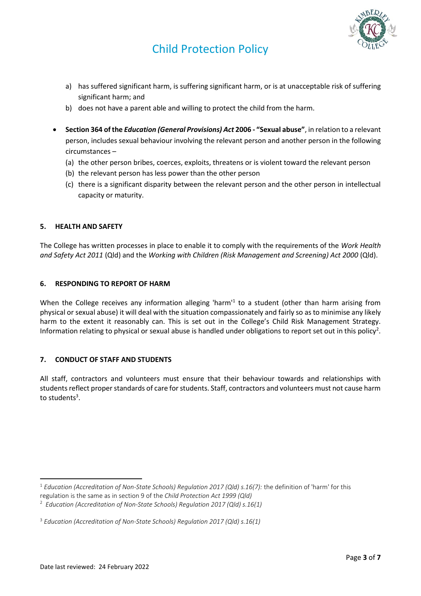

- a) has suffered significant harm, is suffering significant harm, or is at unacceptable risk of suffering significant harm; and
- b) does not have a parent able and willing to protect the child from the harm.
- **Section 364 of the** *Education (General Provisions) Act* **2006 - "Sexual abuse"**, in relation to a relevant person, includes sexual behaviour involving the relevant person and another person in the following circumstances –
	- (a) the other person bribes, coerces, exploits, threatens or is violent toward the relevant person
	- (b) the relevant person has less power than the other person
	- (c) there is a significant disparity between the relevant person and the other person in intellectual capacity or maturity.

#### **5. HEALTH AND SAFETY**

The College has written processes in place to enable it to comply with the requirements of the *Work Health and Safety Act 2011* (Qld) and the *Working with Children (Risk Management and Screening) Act 2000* (Qld).

#### **6. RESPONDING TO REPORT OF HARM**

When the College receives any information alleging 'harm<sup>1</sup> to a student (other than harm arising from physical or sexual abuse) it will deal with the situation compassionately and fairly so as to minimise any likely harm to the extent it reasonably can. This is set out in the College's Child Risk Management Strategy. Information relating to physical or sexual abuse is handled under obligations to report set out in this policy<sup>2</sup>.

#### **7. CONDUCT OF STAFF AND STUDENTS**

All staff, contractors and volunteers must ensure that their behaviour towards and relationships with students reflect proper standards of care for students. Staff, contractors and volunteers must not cause harm to students<sup>3</sup>.

<sup>1</sup> *Education (Accreditation of Non-State Schools) Regulation 2017 (Qld) s.16(7):* the definition of 'harm' for this regulation is the same as in section 9 of the *Child Protection Act 1999 (Qld)*

<sup>2</sup> *Education (Accreditation of Non-State Schools) Regulation 2017 (Qld) s.16(1)*

<sup>3</sup> *Education (Accreditation of Non-State Schools) Regulation 2017 (Qld) s.16(1)*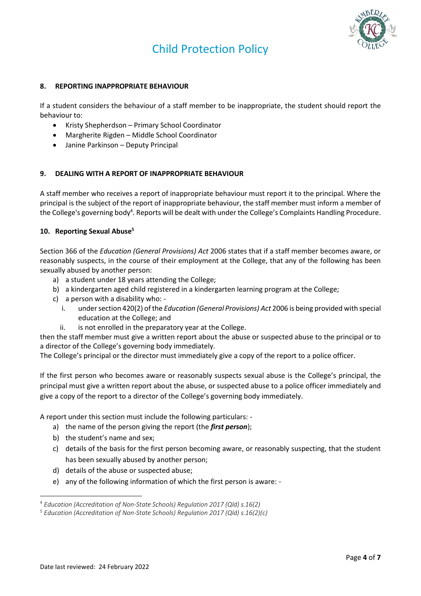

## **8. REPORTING INAPPROPRIATE BEHAVIOUR**

If a student considers the behaviour of a staff member to be inappropriate, the student should report the behaviour to:

- Kristy Shepherdson Primary School Coordinator
- Margherite Rigden Middle School Coordinator
- Janine Parkinson Deputy Principal

## **9. DEALING WITH A REPORT OF INAPPROPRIATE BEHAVIOUR**

A staff member who receives a report of inappropriate behaviour must report it to the principal. Where the principal is the subject of the report of inappropriate behaviour, the staff member must inform a member of the College's governing body<sup>4</sup>. Reports will be dealt with under the College's Complaints Handling Procedure.

## **10. Reporting Sexual Abuse<sup>5</sup>**

Section 366 of the *Education (General Provisions) Act* 2006 states that if a staff member becomes aware, or reasonably suspects, in the course of their employment at the College, that any of the following has been sexually abused by another person:

- a) a student under 18 years attending the College;
- b) a kindergarten aged child registered in a kindergarten learning program at the College;
- c) a person with a disability who:
	- i. under section 420(2) of the *Education (General Provisions) Act* 2006 is being provided with special education at the College; and
	- ii. is not enrolled in the preparatory year at the College.

then the staff member must give a written report about the abuse or suspected abuse to the principal or to a director of the College's governing body immediately.

The College's principal or the director must immediately give a copy of the report to a police officer.

If the first person who becomes aware or reasonably suspects sexual abuse is the College's principal, the principal must give a written report about the abuse, or suspected abuse to a police officer immediately and give a copy of the report to a director of the College's governing body immediately.

A report under this section must include the following particulars: -

- a) the name of the person giving the report (the *first person*);
- b) the student's name and sex;
- c) details of the basis for the first person becoming aware, or reasonably suspecting, that the student has been sexually abused by another person;
- d) details of the abuse or suspected abuse;
- e) any of the following information of which the first person is aware: -

<sup>4</sup> *Education (Accreditation of Non-State Schools) Regulation 2017 (Qld) s.16(2)*

<sup>5</sup> *Education (Accreditation of Non-State Schools) Regulation 2017 (Qld) s.16(2)(c)*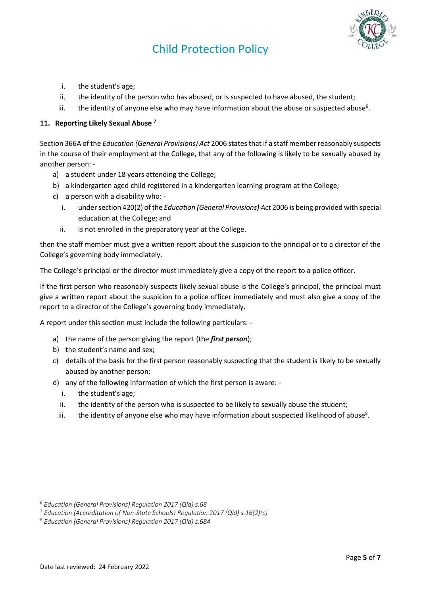

- i. the student's age;
- ii. the identity of the person who has abused, or is suspected to have abused, the student;
- iii. the identity of anyone else who may have information about the abuse or suspected abuse<sup>6</sup>.

# **11. Reporting Likely Sexual Abuse <sup>7</sup>**

Section 366A of the *Education (General Provisions) Act* 2006 states that if a staff member reasonably suspects in the course of their employment at the College, that any of the following is likely to be sexually abused by another person: -

- a) a student under 18 years attending the College;
- b) a kindergarten aged child registered in a kindergarten learning program at the College;
- c) a person with a disability who:
	- i. under section 420(2) of the *Education (General Provisions) Act* 2006 is being provided with special education at the College; and
	- ii. is not enrolled in the preparatory year at the College.

then the staff member must give a written report about the suspicion to the principal or to a director of the College's governing body immediately.

The College's principal or the director must immediately give a copy of the report to a police officer.

If the first person who reasonably suspects likely sexual abuse is the College's principal, the principal must give a written report about the suspicion to a police officer immediately and must also give a copy of the report to a director of the College's governing body immediately.

A report under this section must include the following particulars: -

- a) the name of the person giving the report (the *first person*);
- b) the student's name and sex;
- c) details of the basis for the first person reasonably suspecting that the student is likely to be sexually abused by another person;
- d) any of the following information of which the first person is aware:
	- i. the student's age;
	- ii. the identity of the person who is suspected to be likely to sexually abuse the student;
	- iii. the identity of anyone else who may have information about suspected likelihood of abuse<sup>8</sup>.

<sup>6</sup> *Education (General Provisions) Regulation 2017 (Qld) s.68*

<sup>7</sup> *Education (Accreditation of Non-State Schools) Regulation 2017 (Qld) s.16(2)(c)*

<sup>8</sup> *Education (General Provisions) Regulation 2017 (Qld) s.68A*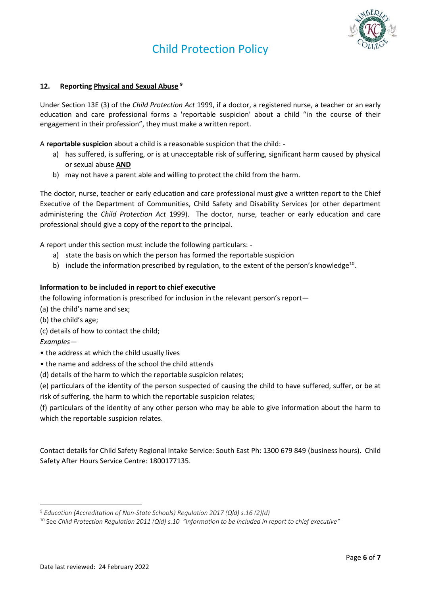

## **12. Reporting Physical and Sexual Abuse <sup>9</sup>**

Under Section 13E (3) of the *Child Protection Act* 1999, if a doctor, a registered nurse, a teacher or an early education and care professional forms a 'reportable suspicion' about a child "in the course of their engagement in their profession", they must make a written report.

A **reportable suspicion** about a child is a reasonable suspicion that the child: -

- a) has suffered, is suffering, or is at unacceptable risk of suffering, significant harm caused by physical or sexual abuse **AND**
- b) may not have a parent able and willing to protect the child from the harm.

The doctor, nurse, teacher or early education and care professional must give a written report to the Chief Executive of the Department of Communities, Child Safety and Disability Services (or other department administering the *Child Protection Act* 1999). The doctor, nurse, teacher or early education and care professional should give a copy of the report to the principal.

A report under this section must include the following particulars: -

- a) state the basis on which the person has formed the reportable suspicion
- b) include the information prescribed by regulation, to the extent of the person's knowledge<sup>10</sup>.

#### **Information to be included in report to chief executive**

the following information is prescribed for inclusion in the relevant person's report—

(a) the child's name and sex;

(b) the child's age;

(c) details of how to contact the child;

*Examples—*

- the address at which the child usually lives
- the name and address of the school the child attends

(d) details of the harm to which the reportable suspicion relates;

(e) particulars of the identity of the person suspected of causing the child to have suffered, suffer, or be at risk of suffering, the harm to which the reportable suspicion relates;

(f) particulars of the identity of any other person who may be able to give information about the harm to which the reportable suspicion relates.

Contact details for Child Safety Regional Intake Service: South East Ph: 1300 679 849 (business hours). Child Safety After Hours Service Centre: 1800177135.

<sup>9</sup> *Education (Accreditation of Non-State Schools) Regulation 2017 (Qld) s.16 (2)(d)*

<sup>10</sup> See *Child Protection Regulation 2011 (Qld) s.10 "Information to be included in report to chief executive"*